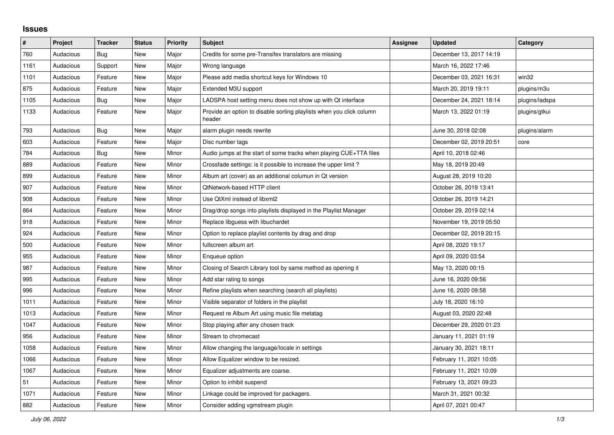## **Issues**

| #    | Project   | <b>Tracker</b> | <b>Status</b> | <b>Priority</b> | Subject                                                                        | <b>Assignee</b> | <b>Updated</b>          | Category       |
|------|-----------|----------------|---------------|-----------------|--------------------------------------------------------------------------------|-----------------|-------------------------|----------------|
| 760  | Audacious | <b>Bug</b>     | <b>New</b>    | Major           | Credits for some pre-Transifex translators are missing                         |                 | December 13, 2017 14:19 |                |
| 1161 | Audacious | Support        | New           | Major           | Wrong language                                                                 |                 | March 16, 2022 17:46    |                |
| 1101 | Audacious | Feature        | New           | Major           | Please add media shortcut keys for Windows 10                                  |                 | December 03, 2021 16:31 | win32          |
| 875  | Audacious | Feature        | <b>New</b>    | Major           | Extended M3U support                                                           |                 | March 20, 2019 19:11    | plugins/m3u    |
| 1105 | Audacious | <b>Bug</b>     | <b>New</b>    | Major           | LADSPA host setting menu does not show up with Qt interface                    |                 | December 24, 2021 18:14 | plugins/ladspa |
| 1133 | Audacious | Feature        | <b>New</b>    | Major           | Provide an option to disable sorting playlists when you click column<br>header |                 | March 13, 2022 01:19    | plugins/gtkui  |
| 793  | Audacious | Bug            | <b>New</b>    | Major           | alarm plugin needs rewrite                                                     |                 | June 30, 2018 02:08     | plugins/alarm  |
| 603  | Audacious | Feature        | <b>New</b>    | Major           | Disc number tags                                                               |                 | December 02, 2019 20:51 | core           |
| 784  | Audacious | Bug            | New           | Minor           | Audio jumps at the start of some tracks when playing CUE+TTA files             |                 | April 10, 2018 02:46    |                |
| 889  | Audacious | Feature        | New           | Minor           | Crossfade settings: is it possible to increase the upper limit?                |                 | May 18, 2019 20:49      |                |
| 899  | Audacious | Feature        | New           | Minor           | Album art (cover) as an additional columun in Qt version                       |                 | August 28, 2019 10:20   |                |
| 907  | Audacious | Feature        | New           | Minor           | QtNetwork-based HTTP client                                                    |                 | October 26, 2019 13:41  |                |
| 908  | Audacious | Feature        | <b>New</b>    | Minor           | Use QtXml instead of libxml2                                                   |                 | October 26, 2019 14:21  |                |
| 864  | Audacious | Feature        | <b>New</b>    | Minor           | Drag/drop songs into playlists displayed in the Playlist Manager               |                 | October 29, 2019 02:14  |                |
| 918  | Audacious | Feature        | New           | Minor           | Replace libguess with libuchardet                                              |                 | November 19, 2019 05:50 |                |
| 924  | Audacious | Feature        | <b>New</b>    | Minor           | Option to replace playlist contents by drag and drop                           |                 | December 02, 2019 20:15 |                |
| 500  | Audacious | Feature        | <b>New</b>    | Minor           | fullscreen album art                                                           |                 | April 08, 2020 19:17    |                |
| 955  | Audacious | Feature        | New           | Minor           | Enqueue option                                                                 |                 | April 09, 2020 03:54    |                |
| 987  | Audacious | Feature        | New           | Minor           | Closing of Search Library tool by same method as opening it                    |                 | May 13, 2020 00:15      |                |
| 995  | Audacious | Feature        | <b>New</b>    | Minor           | Add star rating to songs                                                       |                 | June 16, 2020 09:56     |                |
| 996  | Audacious | Feature        | <b>New</b>    | Minor           | Refine playlists when searching (search all playlists)                         |                 | June 16, 2020 09:58     |                |
| 1011 | Audacious | Feature        | <b>New</b>    | Minor           | Visible separator of folders in the playlist                                   |                 | July 18, 2020 16:10     |                |
| 1013 | Audacious | Feature        | <b>New</b>    | Minor           | Request re Album Art using music file metatag                                  |                 | August 03, 2020 22:48   |                |
| 1047 | Audacious | Feature        | New           | Minor           | Stop playing after any chosen track                                            |                 | December 29, 2020 01:23 |                |
| 956  | Audacious | Feature        | New           | Minor           | Stream to chromecast                                                           |                 | January 11, 2021 01:19  |                |
| 1058 | Audacious | Feature        | <b>New</b>    | Minor           | Allow changing the language/locale in settings                                 |                 | January 30, 2021 18:11  |                |
| 1066 | Audacious | Feature        | <b>New</b>    | Minor           | Allow Equalizer window to be resized.                                          |                 | February 11, 2021 10:05 |                |
| 1067 | Audacious | Feature        | New           | Minor           | Equalizer adjustments are coarse.                                              |                 | February 11, 2021 10:09 |                |
| 51   | Audacious | Feature        | <b>New</b>    | Minor           | Option to inhibit suspend                                                      |                 | February 13, 2021 09:23 |                |
| 1071 | Audacious | Feature        | <b>New</b>    | Minor           | Linkage could be improved for packagers.                                       |                 | March 31, 2021 00:32    |                |
| 882  | Audacious | Feature        | <b>New</b>    | Minor           | Consider adding vgmstream plugin                                               |                 | April 07, 2021 00:47    |                |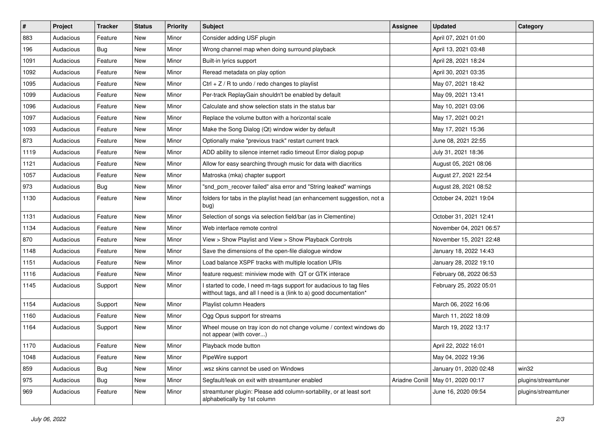| $\pmb{\#}$ | Project   | <b>Tracker</b> | <b>Status</b> | <b>Priority</b> | Subject                                                                                                                                   | <b>Assignee</b> | <b>Updated</b>          | Category            |
|------------|-----------|----------------|---------------|-----------------|-------------------------------------------------------------------------------------------------------------------------------------------|-----------------|-------------------------|---------------------|
| 883        | Audacious | Feature        | New           | Minor           | Consider adding USF plugin                                                                                                                |                 | April 07, 2021 01:00    |                     |
| 196        | Audacious | <b>Bug</b>     | New           | Minor           | Wrong channel map when doing surround playback                                                                                            |                 | April 13, 2021 03:48    |                     |
| 1091       | Audacious | Feature        | New           | Minor           | Built-in lyrics support                                                                                                                   |                 | April 28, 2021 18:24    |                     |
| 1092       | Audacious | Feature        | New           | Minor           | Reread metadata on play option                                                                                                            |                 | April 30, 2021 03:35    |                     |
| 1095       | Audacious | Feature        | New           | Minor           | Ctrl + $Z$ / R to undo / redo changes to playlist                                                                                         |                 | May 07, 2021 18:42      |                     |
| 1099       | Audacious | Feature        | New           | Minor           | Per-track ReplayGain shouldn't be enabled by default                                                                                      |                 | May 09, 2021 13:41      |                     |
| 1096       | Audacious | Feature        | New           | Minor           | Calculate and show selection stats in the status bar                                                                                      |                 | May 10, 2021 03:06      |                     |
| 1097       | Audacious | Feature        | New           | Minor           | Replace the volume button with a horizontal scale                                                                                         |                 | May 17, 2021 00:21      |                     |
| 1093       | Audacious | Feature        | New           | Minor           | Make the Song Dialog (Qt) window wider by default                                                                                         |                 | May 17, 2021 15:36      |                     |
| 873        | Audacious | Feature        | New           | Minor           | Optionally make "previous track" restart current track                                                                                    |                 | June 08, 2021 22:55     |                     |
| 1119       | Audacious | Feature        | New           | Minor           | ADD ability to silence internet radio timeout Error dialog popup                                                                          |                 | July 31, 2021 18:36     |                     |
| 1121       | Audacious | Feature        | New           | Minor           | Allow for easy searching through music for data with diacritics                                                                           |                 | August 05, 2021 08:06   |                     |
| 1057       | Audacious | Feature        | New           | Minor           | Matroska (mka) chapter support                                                                                                            |                 | August 27, 2021 22:54   |                     |
| 973        | Audacious | <b>Bug</b>     | New           | Minor           | "snd_pcm_recover failed" alsa error and "String leaked" warnings                                                                          |                 | August 28, 2021 08:52   |                     |
| 1130       | Audacious | Feature        | New           | Minor           | folders for tabs in the playlist head (an enhancement suggestion, not a<br>bug)                                                           |                 | October 24, 2021 19:04  |                     |
| 1131       | Audacious | Feature        | New           | Minor           | Selection of songs via selection field/bar (as in Clementine)                                                                             |                 | October 31, 2021 12:41  |                     |
| 1134       | Audacious | Feature        | New           | Minor           | Web interface remote control                                                                                                              |                 | November 04, 2021 06:57 |                     |
| 870        | Audacious | Feature        | New           | Minor           | View > Show Playlist and View > Show Playback Controls                                                                                    |                 | November 15, 2021 22:48 |                     |
| 1148       | Audacious | Feature        | New           | Minor           | Save the dimensions of the open-file dialogue window                                                                                      |                 | January 18, 2022 14:43  |                     |
| 1151       | Audacious | Feature        | New           | Minor           | Load balance XSPF tracks with multiple location URIs                                                                                      |                 | January 28, 2022 19:10  |                     |
| 1116       | Audacious | Feature        | New           | Minor           | feature request: miniview mode with QT or GTK interace                                                                                    |                 | February 08, 2022 06:53 |                     |
| 1145       | Audacious | Support        | New           | Minor           | I started to code, I need m-tags support for audacious to tag files<br>witthout tags, and all I need is a (link to a) good documentation* |                 | February 25, 2022 05:01 |                     |
| 1154       | Audacious | Support        | New           | Minor           | Playlist column Headers                                                                                                                   |                 | March 06, 2022 16:06    |                     |
| 1160       | Audacious | Feature        | New           | Minor           | Ogg Opus support for streams                                                                                                              |                 | March 11, 2022 18:09    |                     |
| 1164       | Audacious | Support        | New           | Minor           | Wheel mouse on tray icon do not change volume / context windows do<br>not appear (with cover)                                             |                 | March 19, 2022 13:17    |                     |
| 1170       | Audacious | Feature        | New           | Minor           | Playback mode button                                                                                                                      |                 | April 22, 2022 16:01    |                     |
| 1048       | Audacious | Feature        | New           | Minor           | PipeWire support                                                                                                                          |                 | May 04, 2022 19:36      |                     |
| 859        | Audacious | <b>Bug</b>     | New           | Minor           | .wsz skins cannot be used on Windows                                                                                                      |                 | January 01, 2020 02:48  | win32               |
| 975        | Audacious | <b>Bug</b>     | New           | Minor           | Segfault/leak on exit with streamtuner enabled                                                                                            | Ariadne Conill  | May 01, 2020 00:17      | plugins/streamtuner |
| 969        | Audacious | Feature        | New           | Minor           | streamtuner plugin: Please add column-sortability, or at least sort<br>alphabetically by 1st column                                       |                 | June 16, 2020 09:54     | plugins/streamtuner |